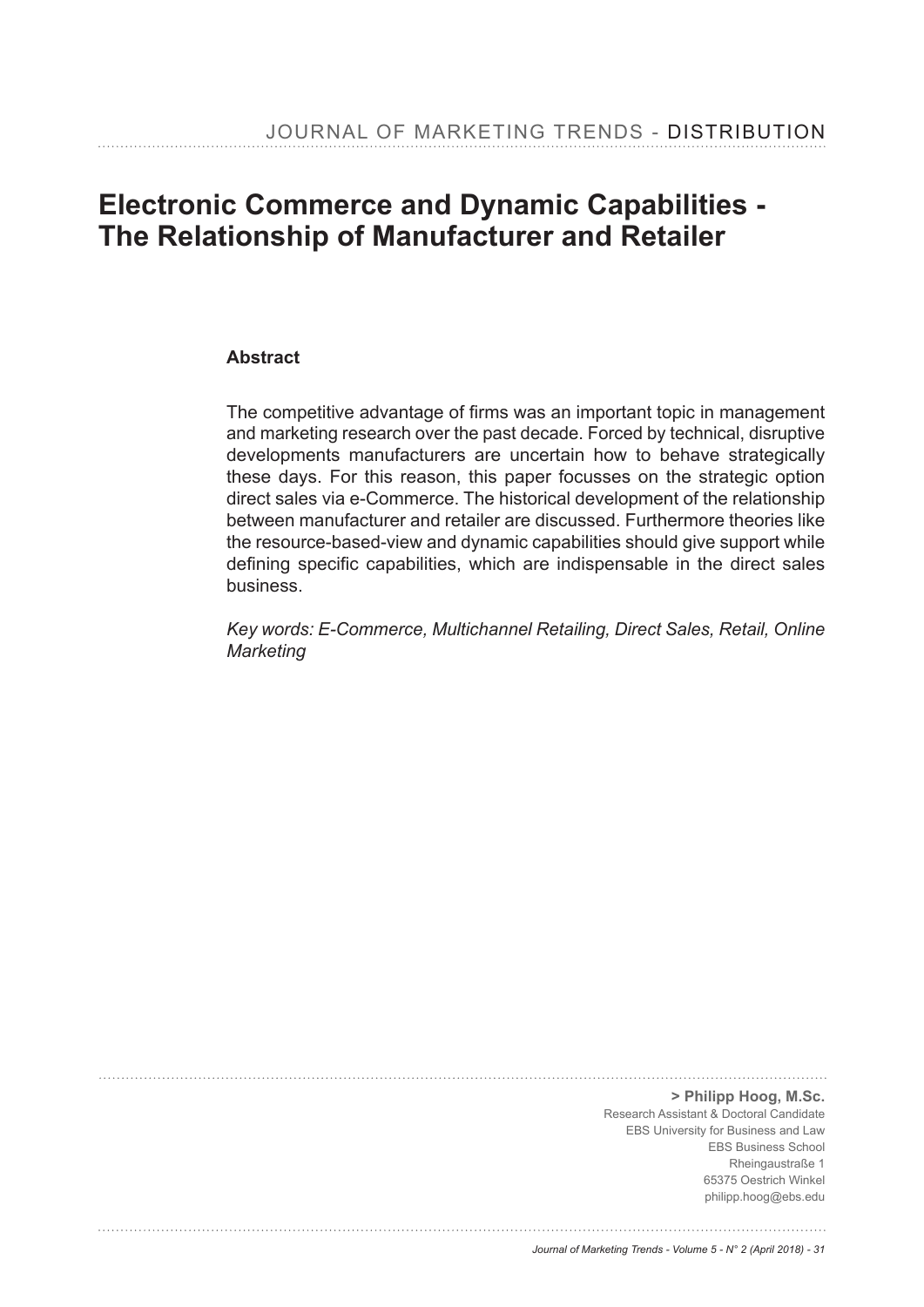# **Electronic Commerce and Dynamic Capabilities - The Relationship of Manufacturer and Retailer**

#### **Abstract**

The competitive advantage of firms was an important topic in management and marketing research over the past decade. Forced by technical, disruptive developments manufacturers are uncertain how to behave strategically these days. For this reason, this paper focusses on the strategic option direct sales via e-Commerce. The historical development of the relationship between manufacturer and retailer are discussed. Furthermore theories like the resource-based-view and dynamic capabilities should give support while defining specific capabilities, which are indispensable in the direct sales business.

*Key words: E-Commerce, Multichannel Retailing, Direct Sales, Retail, Online Marketing* 

> **> Philipp Hoog, M.Sc.** Research Assistant & Doctoral Candidate EBS University for Business and Law EBS Business School Rheingaustraße 1 65375 Oestrich Winkel philipp.hoog@ebs.edu

#### *Journal of Marketing Trends - Volume 5 - N° 2 (April 2018) - 31*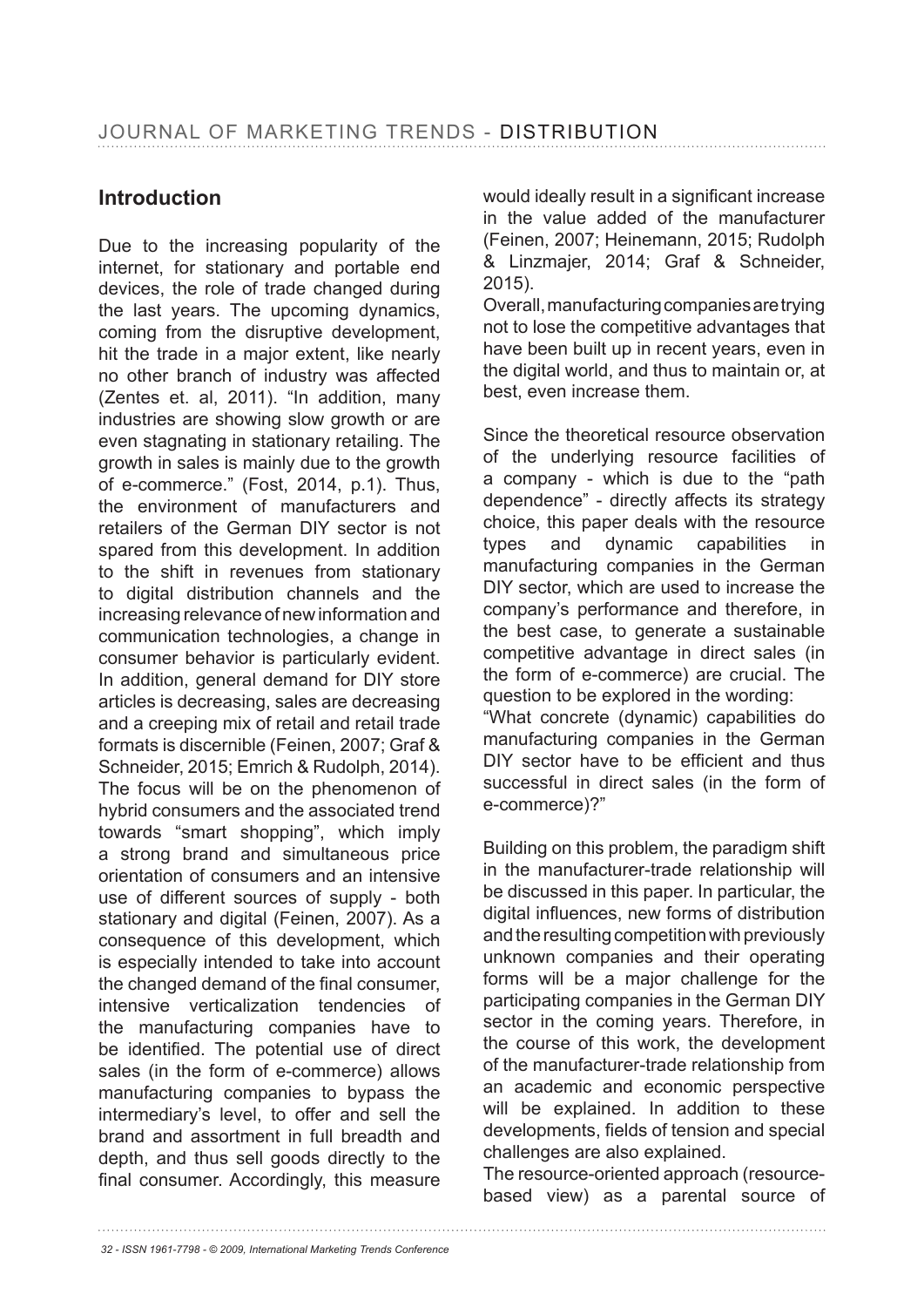# **Introduction**

Due to the increasing popularity of the internet, for stationary and portable end devices, the role of trade changed during the last years. The upcoming dynamics, coming from the disruptive development, hit the trade in a major extent, like nearly no other branch of industry was affected (Zentes et. al, 2011). "In addition, many industries are showing slow growth or are even stagnating in stationary retailing. The growth in sales is mainly due to the growth of e-commerce." (Fost, 2014, p.1). Thus, the environment of manufacturers and retailers of the German DIY sector is not spared from this development. In addition to the shift in revenues from stationary to digital distribution channels and the increasing relevance of new information and communication technologies, a change in consumer behavior is particularly evident. In addition, general demand for DIY store articles is decreasing, sales are decreasing and a creeping mix of retail and retail trade formats is discernible (Feinen, 2007; Graf & Schneider, 2015; Emrich & Rudolph, 2014). The focus will be on the phenomenon of hybrid consumers and the associated trend towards "smart shopping", which imply a strong brand and simultaneous price orientation of consumers and an intensive use of different sources of supply - both stationary and digital (Feinen, 2007). As a consequence of this development, which is especially intended to take into account the changed demand of the final consumer. intensive verticalization tendencies of the manufacturing companies have to be identified. The potential use of direct sales (in the form of e-commerce) allows manufacturing companies to bypass the intermediary's level, to offer and sell the brand and assortment in full breadth and depth, and thus sell goods directly to the final consumer. Accordingly, this measure would ideally result in a significant increase in the value added of the manufacturer (Feinen, 2007; Heinemann, 2015; Rudolph & Linzmajer, 2014; Graf & Schneider, 2015).

Overall, manufacturing companies are trying not to lose the competitive advantages that have been built up in recent years, even in the digital world, and thus to maintain or, at best, even increase them.

Since the theoretical resource observation of the underlying resource facilities of a company - which is due to the "path dependence" - directly affects its strategy choice, this paper deals with the resource types and dynamic capabilities in manufacturing companies in the German DIY sector, which are used to increase the company's performance and therefore, in the best case, to generate a sustainable competitive advantage in direct sales (in the form of e-commerce) are crucial. The question to be explored in the wording: "What concrete (dynamic) capabilities do

manufacturing companies in the German DIY sector have to be efficient and thus successful in direct sales (in the form of e-commerce)?"

Building on this problem, the paradigm shift in the manufacturer-trade relationship will be discussed in this paper. In particular, the digital influences, new forms of distribution and the resulting competition with previously unknown companies and their operating forms will be a major challenge for the participating companies in the German DIY sector in the coming years. Therefore, in the course of this work, the development of the manufacturer-trade relationship from an academic and economic perspective will be explained. In addition to these developments, fields of tension and special challenges are also explained.

The resource-oriented approach (resourcebased view) as a parental source of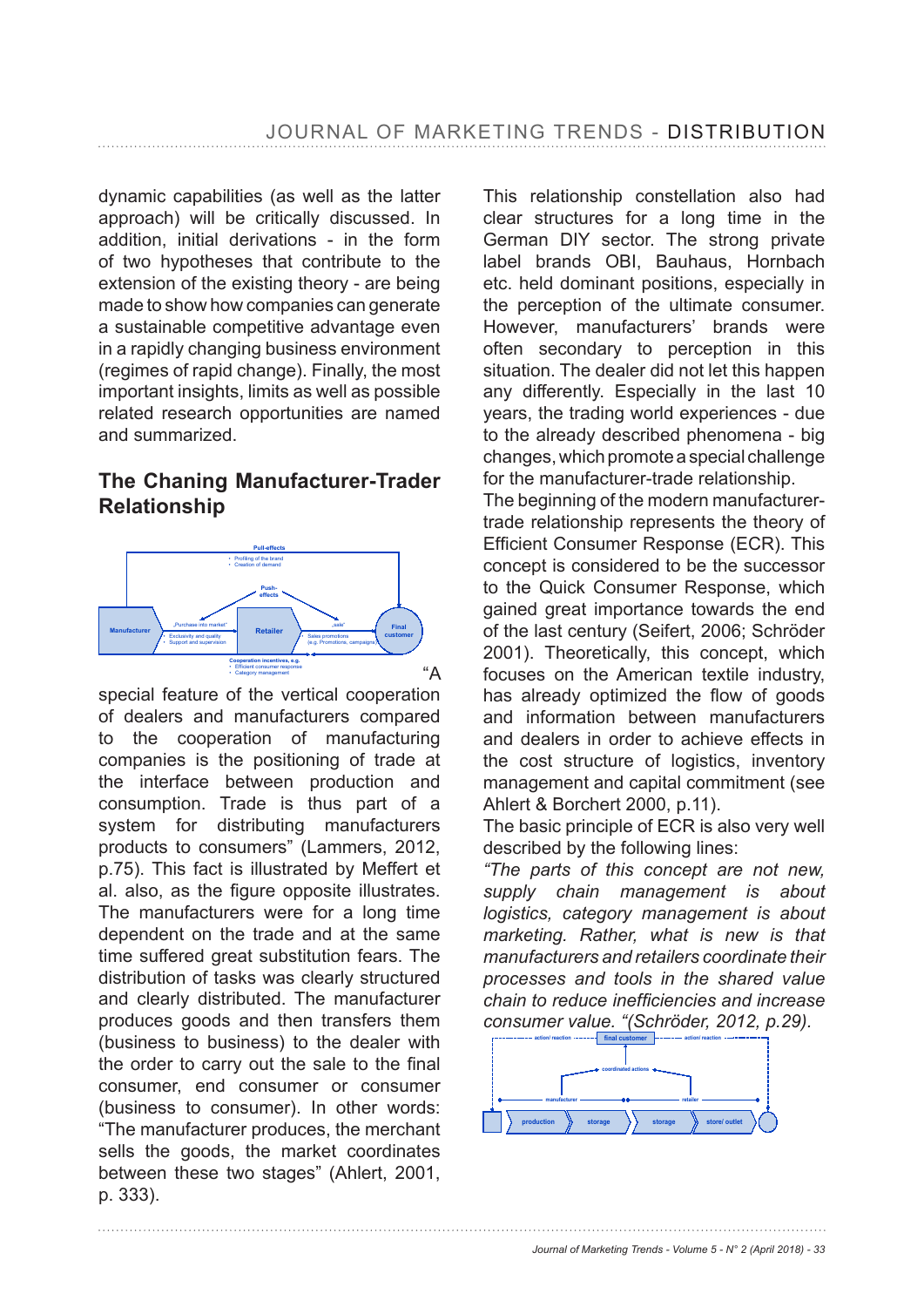dynamic capabilities (as well as the latter approach) will be critically discussed. In addition, initial derivations - in the form of two hypotheses that contribute to the extension of the existing theory - are being made to show how companies can generate a sustainable competitive advantage even in a rapidly changing business environment (regimes of rapid change). Finally, the most important insights, limits as well as possible related research opportunities are named and summarized.

## **The Chaning Manufacturer-Trader Relationship**



special feature of the vertical cooperation of dealers and manufacturers compared to the cooperation of manufacturing companies is the positioning of trade at the interface between production and consumption. Trade is thus part of a system for distributing manufacturers products to consumers" (Lammers, 2012, p.75). This fact is illustrated by Meffert et al. also, as the figure opposite illustrates. The manufacturers were for a long time dependent on the trade and at the same time suffered great substitution fears. The distribution of tasks was clearly structured and clearly distributed. The manufacturer produces goods and then transfers them (business to business) to the dealer with the order to carry out the sale to the final consumer, end consumer or consumer (business to consumer). In other words: "The manufacturer produces, the merchant sells the goods, the market coordinates between these two stages" (Ahlert, 2001, p. 333).

This relationship constellation also had clear structures for a long time in the German DIY sector. The strong private label brands OBI, Bauhaus, Hornbach etc. held dominant positions, especially in the perception of the ultimate consumer. However, manufacturers' brands were often secondary to perception in this situation. The dealer did not let this happen any differently. Especially in the last 10 years, the trading world experiences - due to the already described phenomena - big changes, which promote a special challenge for the manufacturer-trade relationship.

The beginning of the modern manufacturertrade relationship represents the theory of Efficient Consumer Response (ECR). This concept is considered to be the successor to the Quick Consumer Response, which gained great importance towards the end of the last century (Seifert, 2006; Schröder 2001). Theoretically, this concept, which focuses on the American textile industry, has already optimized the flow of goods and information between manufacturers and dealers in order to achieve effects in the cost structure of logistics, inventory management and capital commitment (see Ahlert & Borchert 2000, p.11).

The basic principle of ECR is also very well described by the following lines:

*"The parts of this concept are not new, supply chain management is about logistics, category management is about marketing. Rather, what is new is that manufacturers and retailers coordinate their processes and tools in the shared value*  chain to reduce inefficiencies and increase *consumer value. "(Schröder, 2012, p.29).*

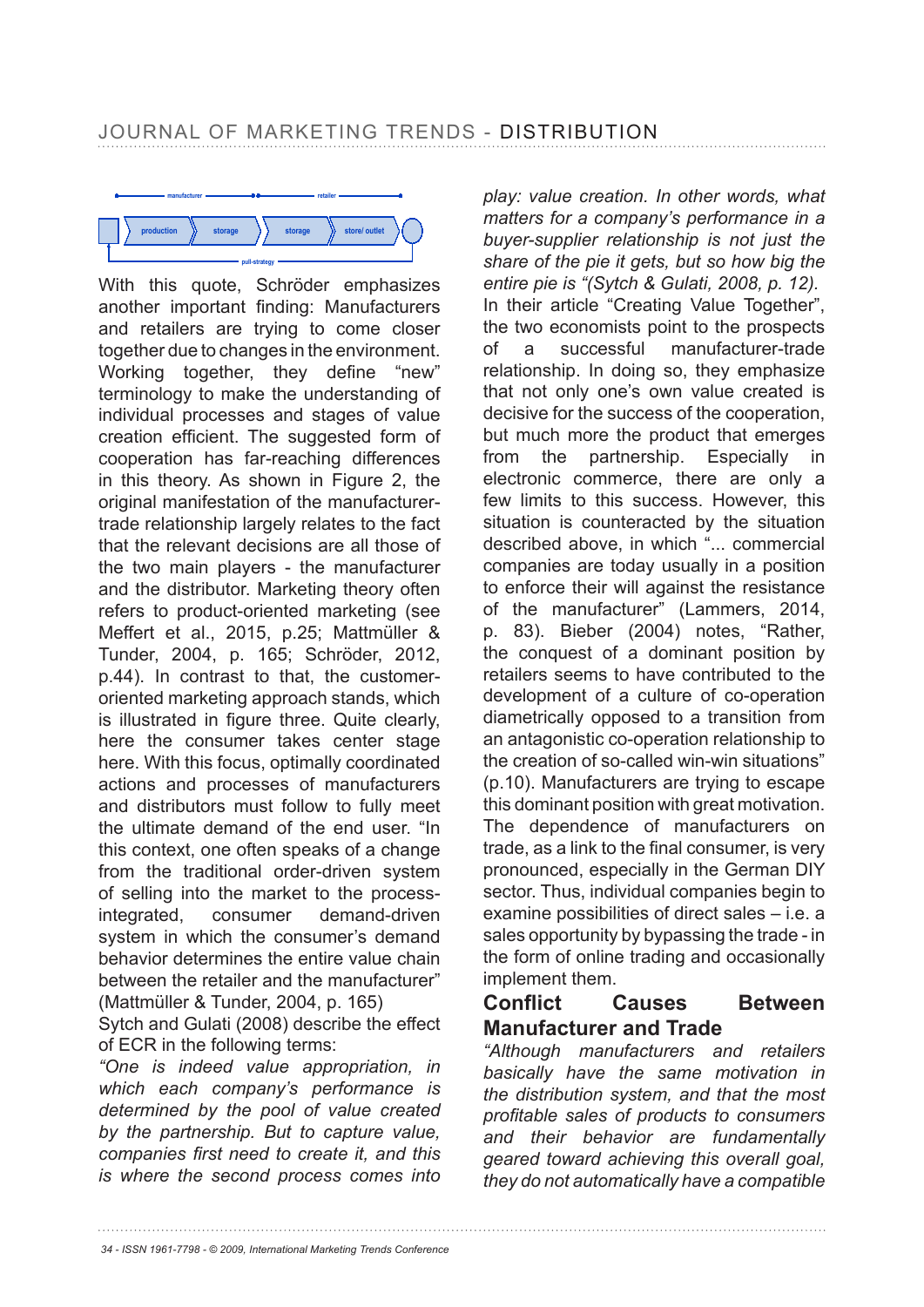

With this quote, Schröder emphasizes another important finding: Manufacturers and retailers are trying to come closer together due to changes in the environment. Working together, they define "new" terminology to make the understanding of individual processes and stages of value creation efficient. The suggested form of cooperation has far-reaching differences in this theory. As shown in Figure 2, the original manifestation of the manufacturertrade relationship largely relates to the fact that the relevant decisions are all those of the two main players - the manufacturer and the distributor. Marketing theory often refers to product-oriented marketing (see Meffert et al., 2015, p.25; Mattmüller & Tunder, 2004, p. 165; Schröder, 2012, p.44). In contrast to that, the customeroriented marketing approach stands, which is illustrated in figure three. Quite clearly, here the consumer takes center stage here. With this focus, optimally coordinated actions and processes of manufacturers and distributors must follow to fully meet the ultimate demand of the end user. "In this context, one often speaks of a change from the traditional order-driven system of selling into the market to the processintegrated, consumer demand-driven system in which the consumer's demand behavior determines the entire value chain between the retailer and the manufacturer" (Mattmüller & Tunder, 2004, p. 165)

Sytch and Gulati (2008) describe the effect of ECR in the following terms:

*"One is indeed value appropriation, in which each company's performance is determined by the pool of value created by the partnership. But to capture value,*  companies first need to create it, and this *is where the second process comes into* 

*play: value creation. In other words, what matters for a company's performance in a buyer-supplier relationship is not just the share of the pie it gets, but so how big the entire pie is "(Sytch & Gulati, 2008, p. 12).* In their article "Creating Value Together", the two economists point to the prospects of a successful manufacturer-trade relationship. In doing so, they emphasize that not only one's own value created is decisive for the success of the cooperation, but much more the product that emerges from the partnership. Especially in electronic commerce, there are only a few limits to this success. However, this situation is counteracted by the situation described above, in which "... commercial companies are today usually in a position to enforce their will against the resistance of the manufacturer" (Lammers, 2014, p. 83). Bieber (2004) notes, "Rather, the conquest of a dominant position by retailers seems to have contributed to the development of a culture of co-operation diametrically opposed to a transition from an antagonistic co-operation relationship to the creation of so-called win-win situations" (p.10). Manufacturers are trying to escape this dominant position with great motivation. The dependence of manufacturers on trade, as a link to the final consumer, is very pronounced, especially in the German DIY sector. Thus, individual companies begin to examine possibilities of direct sales – i.e. a sales opportunity by bypassing the trade - in the form of online trading and occasionally implement them.

## Conflict Causes Between **Manufacturer and Trade**

*"Although manufacturers and retailers basically have the same motivation in the distribution system, and that the most*  profitable sales of products to consumers *and their behavior are fundamentally geared toward achieving this overall goal, they do not automatically have a compatible* 

*34 - ISSN 1961-7798 - © 2009, International Marketing Trends Conference*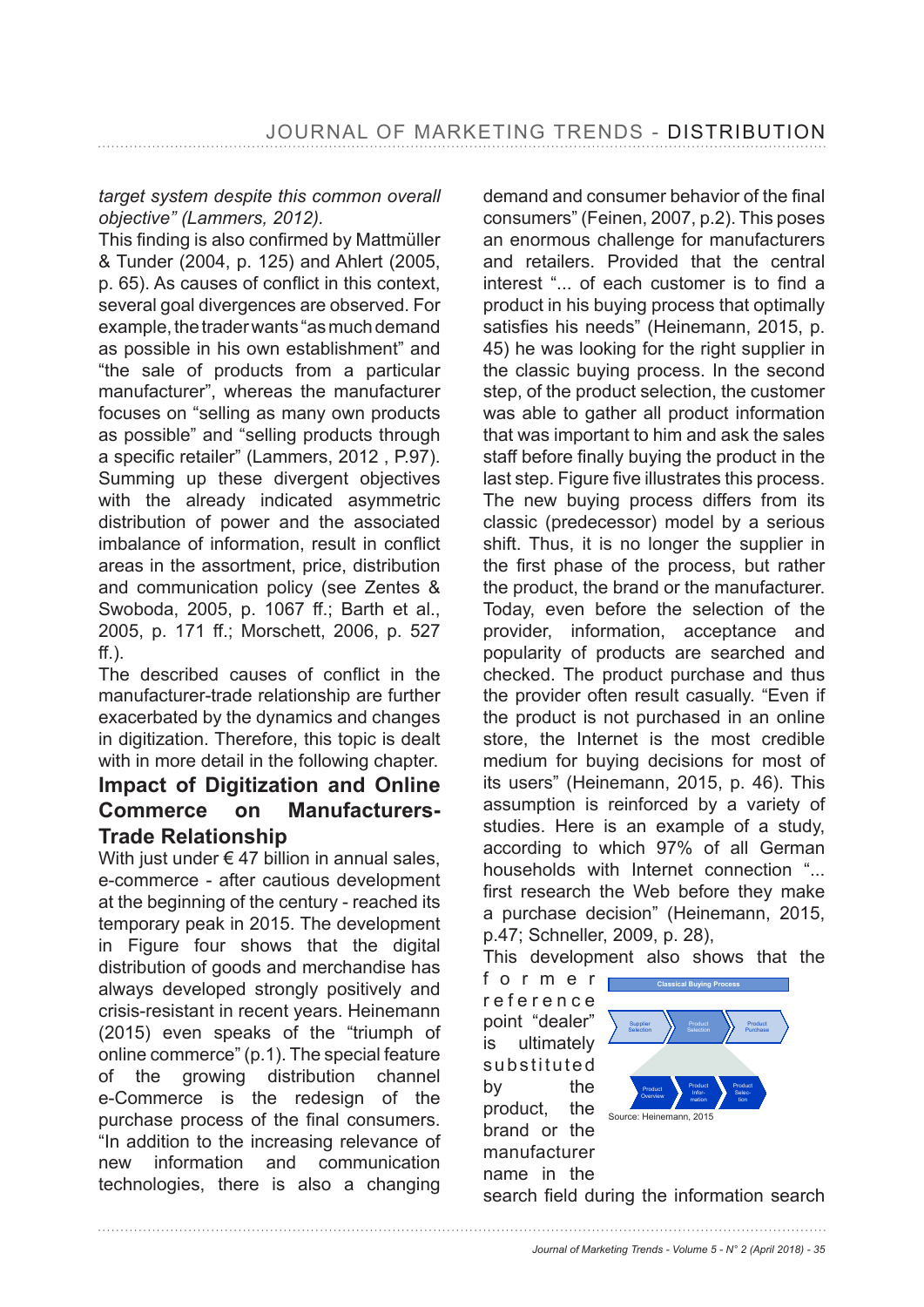#### *target system despite this common overall objective" (Lammers, 2012).*

This finding is also confirmed by Mattmüller & Tunder (2004, p. 125) and Ahlert (2005, p. 65). As causes of conflict in this context. several goal divergences are observed. For example, the trader wants "as much demand as possible in his own establishment" and "the sale of products from a particular manufacturer", whereas the manufacturer focuses on "selling as many own products as possible" and "selling products through a specific retailer" (Lammers, 2012, P.97). Summing up these divergent objectives with the already indicated asymmetric distribution of power and the associated imbalance of information, result in conflict areas in the assortment, price, distribution and communication policy (see Zentes & Swoboda, 2005, p. 1067 ff.; Barth et al., 2005, p. 171 ff.; Morschett, 2006, p. 527  $ff.$ ).

The described causes of conflict in the manufacturer-trade relationship are further exacerbated by the dynamics and changes in digitization. Therefore, this topic is dealt with in more detail in the following chapter.

## **Impact of Digitization and Online Commerce on Manufacturers-Trade Relationship**

With just under  $\epsilon$  47 billion in annual sales. e-commerce - after cautious development at the beginning of the century - reached its temporary peak in 2015. The development in Figure four shows that the digital distribution of goods and merchandise has always developed strongly positively and crisis-resistant in recent years. Heinemann (2015) even speaks of the "triumph of online commerce" (p.1). The special feature of the growing distribution channel e-Commerce is the redesign of the purchase process of the final consumers. "In addition to the increasing relevance of new information and communication technologies, there is also a changing

demand and consumer behavior of the final consumers" (Feinen, 2007, p.2). This poses an enormous challenge for manufacturers and retailers. Provided that the central interest "... of each customer is to find a product in his buying process that optimally satisfies his needs" (Heinemann, 2015, p. 45) he was looking for the right supplier in the classic buying process. In the second step, of the product selection, the customer was able to gather all product information that was important to him and ask the sales staff before finally buying the product in the last step. Figure five illustrates this process. The new buying process differs from its classic (predecessor) model by a serious shift. Thus, it is no longer the supplier in the first phase of the process, but rather the product, the brand or the manufacturer. Today, even before the selection of the provider, information, acceptance and popularity of products are searched and checked. The product purchase and thus the provider often result casually. "Even if the product is not purchased in an online store, the Internet is the most credible medium for buying decisions for most of its users" (Heinemann, 2015, p. 46). This assumption is reinforced by a variety of studies. Here is an example of a study, according to which 97% of all German households with Internet connection "... first research the Web before they make a purchase decision" (Heinemann, 2015, p.47; Schneller, 2009, p. 28),

This development also shows that the

f o r m e r r e f e r e n c e point "dealer" is ultimately substituted by the product, the brand or the manufacturer name in the



search field during the information search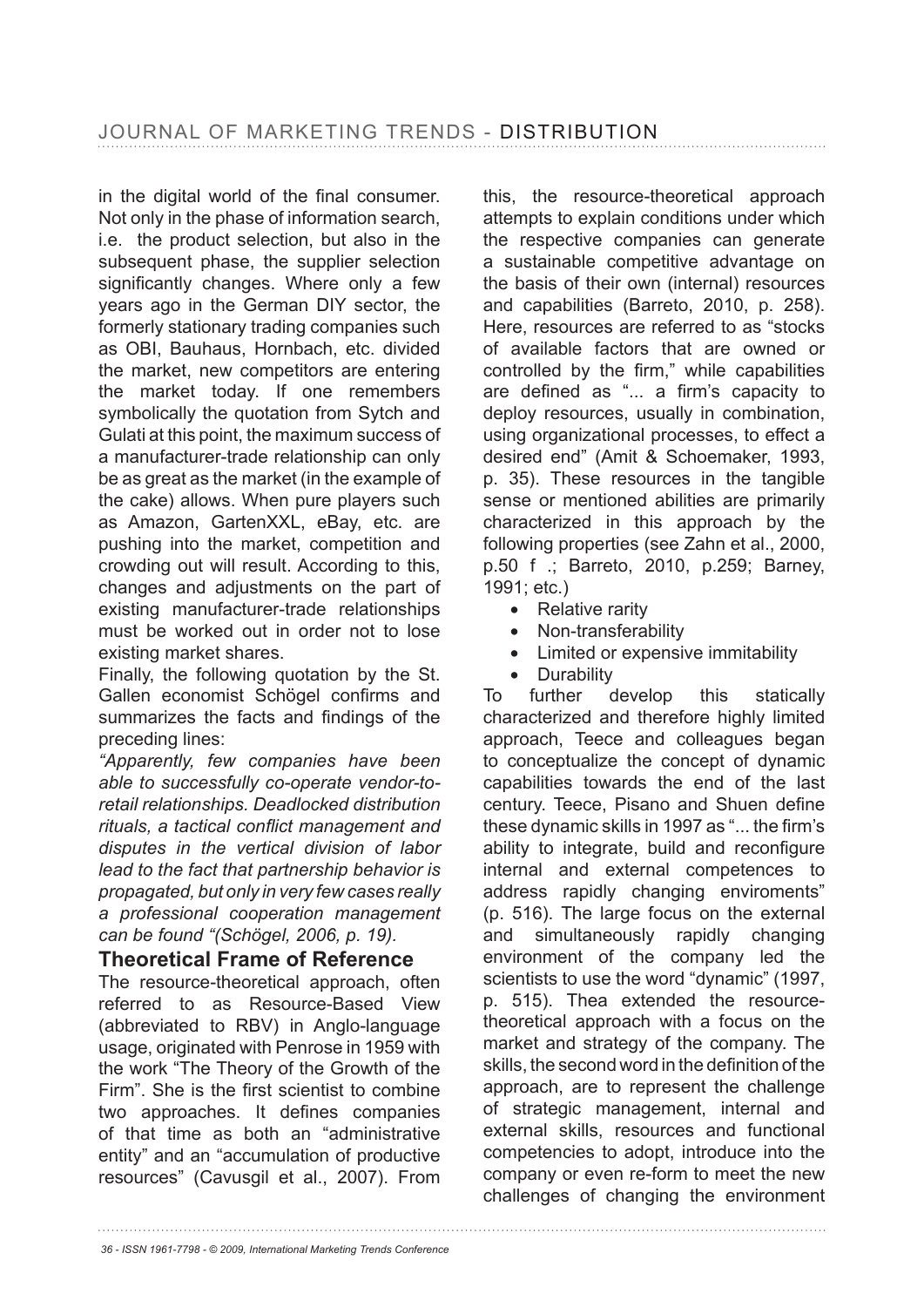in the digital world of the final consumer. Not only in the phase of information search, i.e. the product selection, but also in the subsequent phase, the supplier selection significantly changes. Where only a few years ago in the German DIY sector, the formerly stationary trading companies such as OBI, Bauhaus, Hornbach, etc. divided the market, new competitors are entering the market today. If one remembers symbolically the quotation from Sytch and Gulati at this point, the maximum success of a manufacturer-trade relationship can only be as great as the market (in the example of the cake) allows. When pure players such as Amazon, GartenXXL, eBay, etc. are pushing into the market, competition and crowding out will result. According to this, changes and adjustments on the part of existing manufacturer-trade relationships must be worked out in order not to lose existing market shares.

Finally, the following quotation by the St. Gallen economist Schögel confirms and summarizes the facts and findings of the preceding lines:

*"Apparently, few companies have been able to successfully co-operate vendor-toretail relationships. Deadlocked distribution*  rituals, a tactical conflict management and *disputes in the vertical division of labor lead to the fact that partnership behavior is propagated, but only in very few cases really a professional cooperation management can be found "(Schögel, 2006, p. 19).*

#### **Theoretical Frame of Reference**

The resource-theoretical approach, often referred to as Resource-Based View (abbreviated to RBV) in Anglo-language usage, originated with Penrose in 1959 with the work "The Theory of the Growth of the Firm". She is the first scientist to combine two approaches. It defines companies of that time as both an "administrative entity" and an "accumulation of productive resources" (Cavusgil et al., 2007). From this, the resource-theoretical approach attempts to explain conditions under which the respective companies can generate a sustainable competitive advantage on the basis of their own (internal) resources and capabilities (Barreto, 2010, p. 258). Here, resources are referred to as "stocks of available factors that are owned or controlled by the firm." while capabilities are defined as "... a firm's capacity to deploy resources, usually in combination, using organizational processes, to effect a desired end" (Amit & Schoemaker, 1993, p. 35). These resources in the tangible sense or mentioned abilities are primarily characterized in this approach by the following properties (see Zahn et al., 2000, p.50 f .; Barreto, 2010, p.259; Barney, 1991; etc.)

- Relative rarity
- Non-transferability
- Limited or expensive immitability
- Durability

To further develop this statically characterized and therefore highly limited approach, Teece and colleagues began to conceptualize the concept of dynamic capabilities towards the end of the last century. Teece, Pisano and Shuen define these dynamic skills in 1997 as "... the firm's ability to integrate, build and reconfigure internal and external competences to address rapidly changing enviroments" (p. 516). The large focus on the external and simultaneously rapidly changing environment of the company led the scientists to use the word "dynamic" (1997, p. 515). Thea extended the resourcetheoretical approach with a focus on the market and strategy of the company. The skills, the second word in the definition of the approach, are to represent the challenge of strategic management, internal and external skills, resources and functional competencies to adopt, introduce into the company or even re-form to meet the new challenges of changing the environment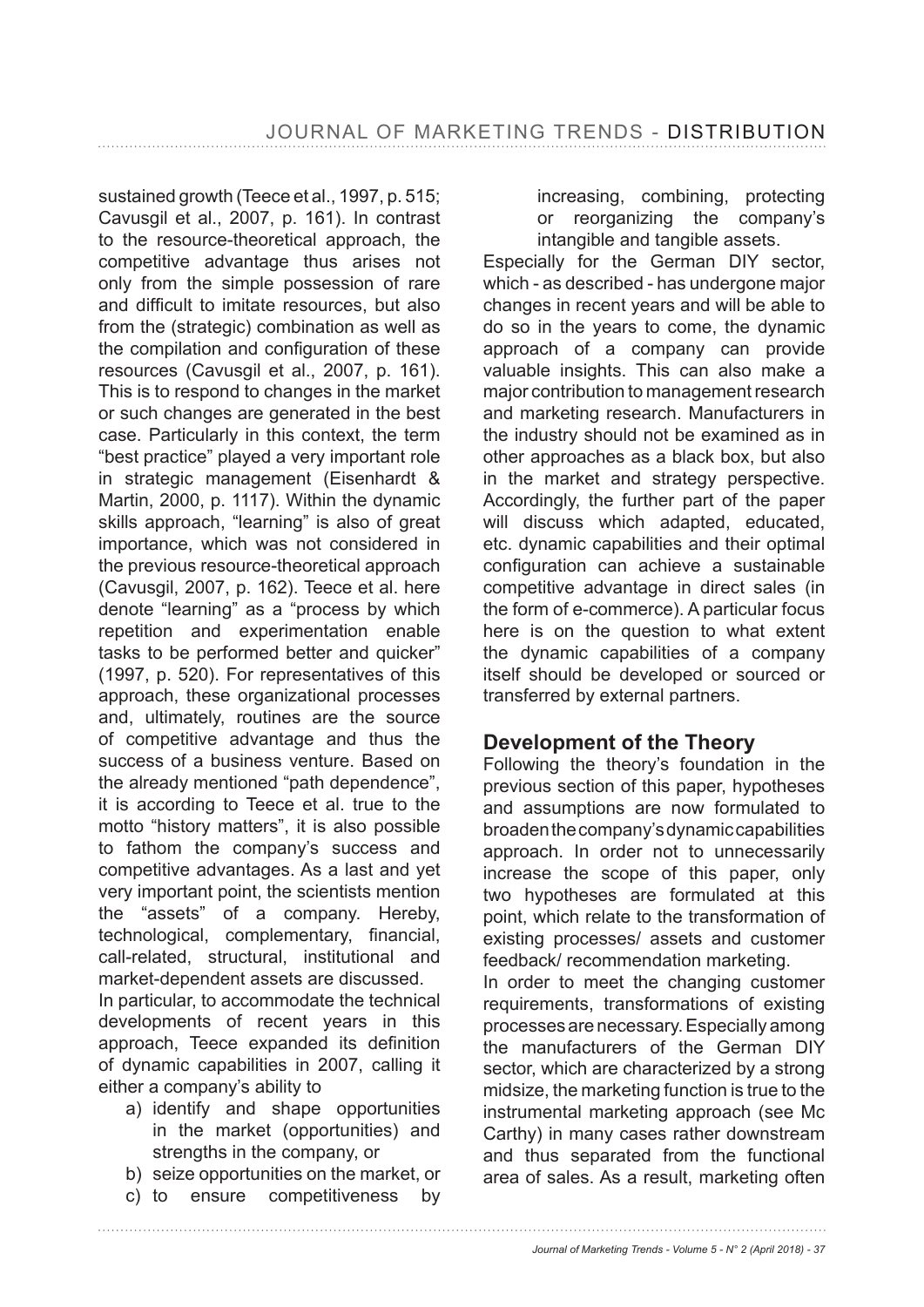sustained growth (Teece et al., 1997, p. 515; Cavusgil et al., 2007, p. 161). In contrast to the resource-theoretical approach, the competitive advantage thus arises not only from the simple possession of rare and difficult to imitate resources, but also from the (strategic) combination as well as the compilation and configuration of these resources (Cavusgil et al., 2007, p. 161). This is to respond to changes in the market or such changes are generated in the best case. Particularly in this context, the term "best practice" played a very important role in strategic management (Eisenhardt & Martin, 2000, p. 1117). Within the dynamic skills approach, "learning" is also of great importance, which was not considered in the previous resource-theoretical approach (Cavusgil, 2007, p. 162). Teece et al. here denote "learning" as a "process by which repetition and experimentation enable tasks to be performed better and quicker"  $(1997, p. 520)$ . For representatives of this approach, these organizational processes and, ultimately, routines are the source of competitive advantage and thus the success of a business venture. Based on the already mentioned "path dependence", it is according to Teece et al. true to the motto "history matters", it is also possible to fathom the company's success and competitive advantages. As a last and yet very important point, the scientists mention the "assets" of a company. Hereby, technological, complementary, financial, call-related, structural, institutional and market-dependent assets are discussed.

In particular, to accommodate the technical developments of recent years in this approach, Teece expanded its definition of dynamic capabilities in 2007, calling it either a company's ability to

- a) identify and shape opportunities in the market (opportunities) and strengths in the company, or
- b) seize opportunities on the market, or
- c) to ensure competitiveness by

increasing, combining, protecting or reorganizing the company's intangible and tangible assets.

Especially for the German DIY sector, which - as described - has undergone major changes in recent years and will be able to do so in the years to come, the dynamic approach of a company can provide valuable insights. This can also make a major contribution to management research and marketing research. Manufacturers in the industry should not be examined as in other approaches as a black box, but also in the market and strategy perspective. Accordingly, the further part of the paper will discuss which adapted, educated, etc. dynamic capabilities and their optimal configuration can achieve a sustainable competitive advantage in direct sales (in the form of e-commerce). A particular focus here is on the question to what extent the dynamic capabilities of a company itself should be developed or sourced or transferred by external partners.

#### **Development of the Theory**

Following the theory's foundation in the previous section of this paper, hypotheses and assumptions are now formulated to broaden the company's dynamic capabilities approach. In order not to unnecessarily increase the scope of this paper, only two hypotheses are formulated at this point, which relate to the transformation of existing processes/ assets and customer feedback/ recommendation marketing.

In order to meet the changing customer requirements, transformations of existing processes are necessary. Especially among the manufacturers of the German DIY sector, which are characterized by a strong midsize, the marketing function is true to the instrumental marketing approach (see Mc Carthy) in many cases rather downstream and thus separated from the functional area of sales. As a result, marketing often

*Journal of Marketing Trends - Volume 5 - N° 2 (April 2018) - 37*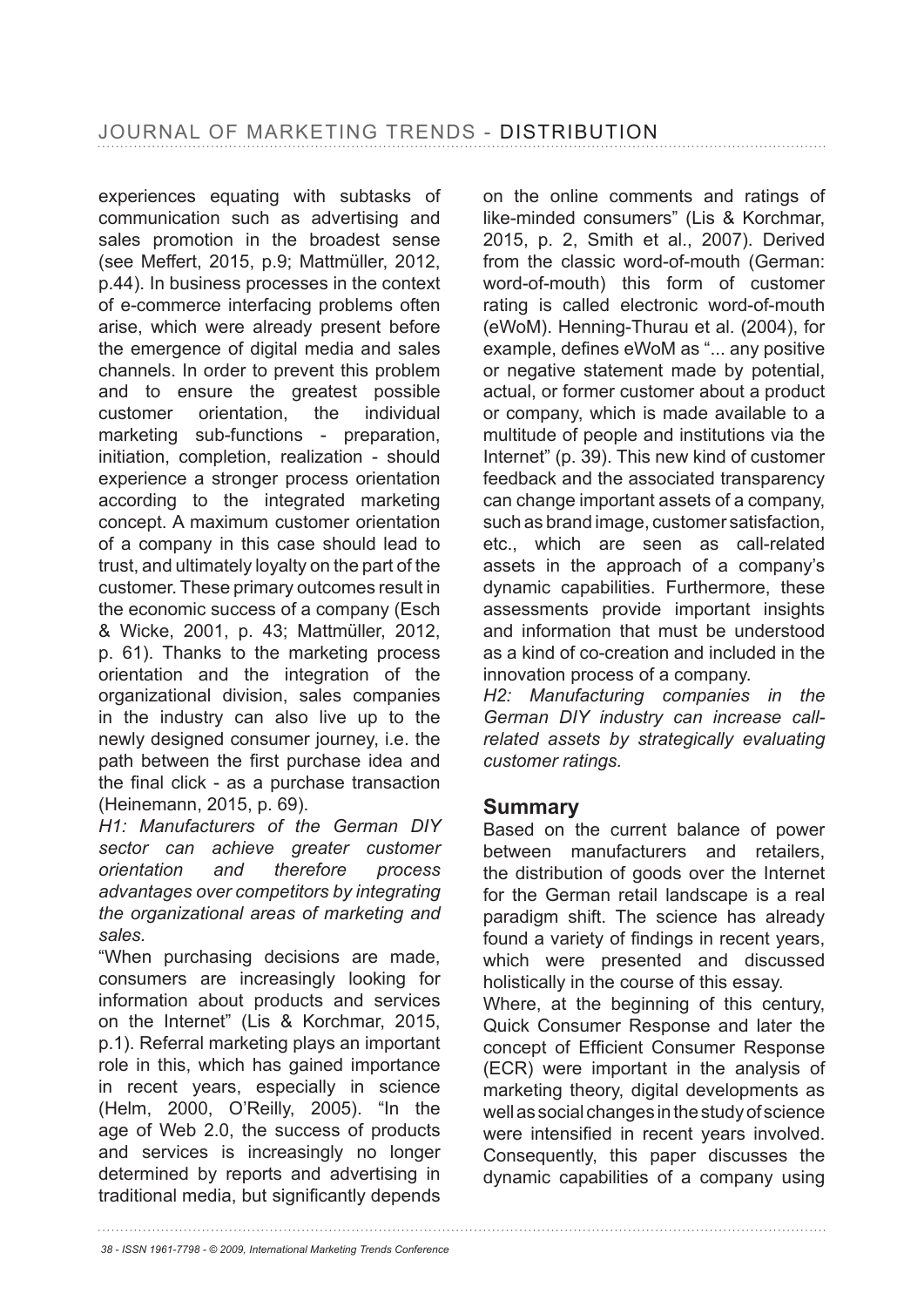experiences equating with subtasks of communication such as advertising and sales promotion in the broadest sense (see Meffert, 2015, p.9; Mattmüller, 2012, p.44). In business processes in the context of e-commerce interfacing problems often arise, which were already present before the emergence of digital media and sales channels. In order to prevent this problem and to ensure the greatest possible customer orientation, the individual marketing sub-functions - preparation, initiation, completion, realization - should experience a stronger process orientation according to the integrated marketing concept. A maximum customer orientation of a company in this case should lead to trust, and ultimately loyalty on the part of the customer. These primary outcomes result in the economic success of a company (Esch & Wicke, 2001, p. 43; Mattmüller, 2012, p. 61). Thanks to the marketing process orientation and the integration of the organizational division, sales companies in the industry can also live up to the newly designed consumer journey, i.e. the path between the first purchase idea and the final click - as a purchase transaction (Heinemann, 2015, p. 69).

*H1: Manufacturers of the German DIY sector can achieve greater customer orientation and therefore process advantages over competitors by integrating the organizational areas of marketing and sales.*

"When purchasing decisions are made, consumers are increasingly looking for information about products and services on the Internet" (Lis & Korchmar, 2015, p.1). Referral marketing plays an important role in this, which has gained importance in recent years, especially in science (Helm, 2000, O'Reilly, 2005). "In the age of Web 2.0, the success of products and services is increasingly no longer determined by reports and advertising in traditional media, but significantly depends on the online comments and ratings of like-minded consumers" (Lis & Korchmar, 2015, p. 2, Smith et al., 2007). Derived from the classic word-of-mouth (German: word-of-mouth) this form of customer rating is called electronic word-of-mouth (eWoM). Henning-Thurau et al. (2004), for example, defines eWoM as "... any positive or negative statement made by potential, actual, or former customer about a product or company, which is made available to a multitude of people and institutions via the Internet" (p. 39). This new kind of customer feedback and the associated transparency can change important assets of a company, such as brand image, customer satisfaction, etc., which are seen as call-related assets in the approach of a company's dynamic capabilities. Furthermore, these assessments provide important insights and information that must be understood as a kind of co-creation and included in the innovation process of a company.

*H2: Manufacturing companies in the German DIY industry can increase callrelated assets by strategically evaluating customer ratings.*

#### **Summary**

Based on the current balance of power between manufacturers and retailers, the distribution of goods over the Internet for the German retail landscape is a real paradigm shift. The science has already found a variety of findings in recent years, which were presented and discussed holistically in the course of this essay.

Where, at the beginning of this century, Quick Consumer Response and later the concept of Efficient Consumer Response (ECR) were important in the analysis of marketing theory, digital developments as well as social changes in the study of science were intensified in recent years involved. Consequently, this paper discusses the dynamic capabilities of a company using

*38 - ISSN 1961-7798 - © 2009, International Marketing Trends Conference*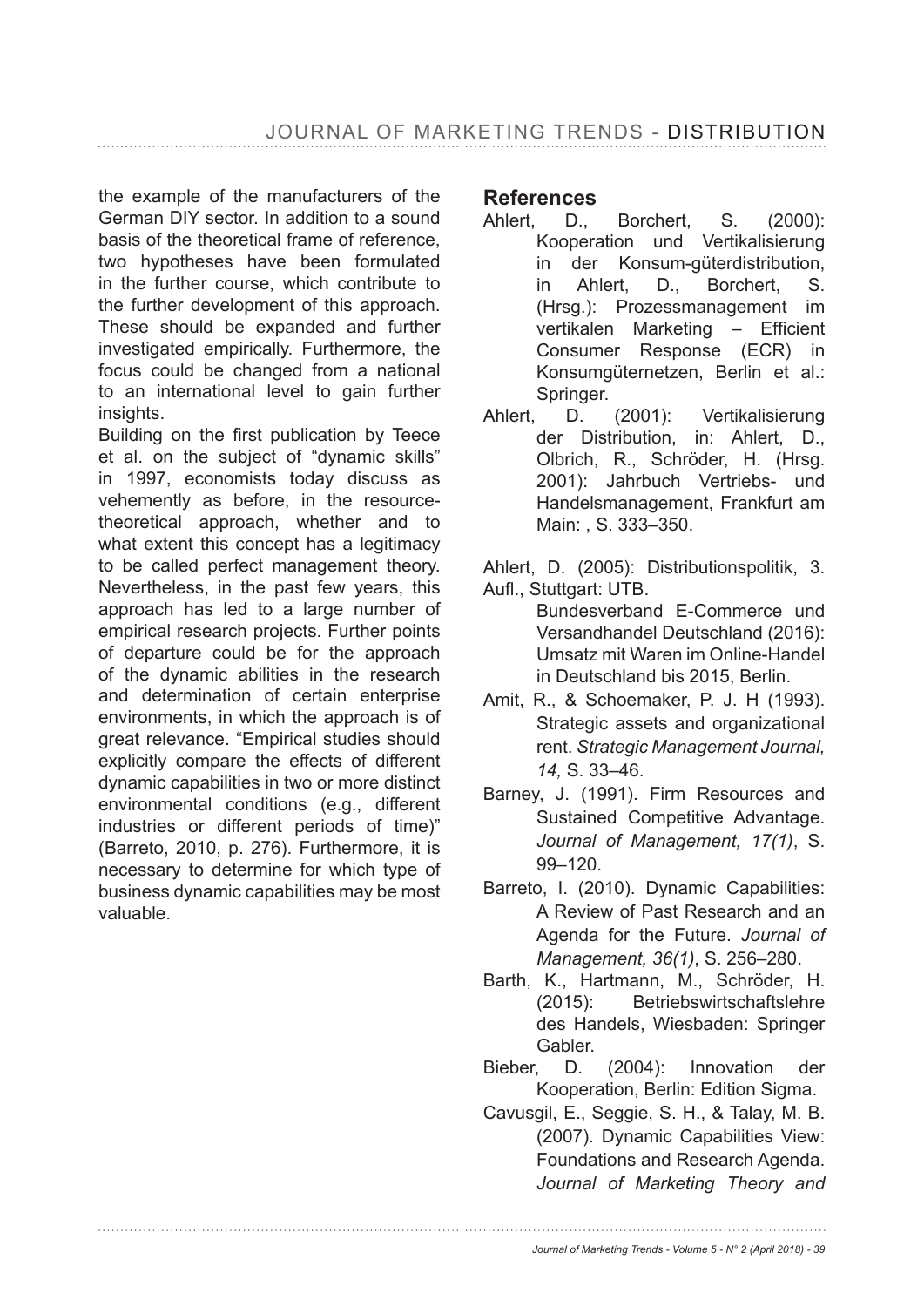the example of the manufacturers of the German DIY sector. In addition to a sound basis of the theoretical frame of reference, two hypotheses have been formulated in the further course, which contribute to the further development of this approach. These should be expanded and further investigated empirically. Furthermore, the focus could be changed from a national to an international level to gain further insights.

Building on the first publication by Teece et al. on the subject of "dynamic skills" in 1997, economists today discuss as vehemently as before, in the resourcetheoretical approach, whether and to what extent this concept has a legitimacy to be called perfect management theory. Nevertheless, in the past few years, this approach has led to a large number of empirical research projects. Further points of departure could be for the approach of the dynamic abilities in the research and determination of certain enterprise environments, in which the approach is of great relevance. "Empirical studies should explicitly compare the effects of different dynamic capabilities in two or more distinct environmental conditions (e.g., different industries or different periods of time)" (Barreto, 2010, p. 276). Furthermore, it is necessary to determine for which type of business dynamic capabilities may be most valuable.

#### **References**

- Ahlert, D., Borchert, S. (2000): Kooperation und Vertikalisierung in der Konsum-güterdistribution, in Ahlert, D., Borchert, S. (Hrsg.): Prozessmanagement im vertikalen Marketing - Efficient Consumer Response (ECR) in Konsumgüternetzen, Berlin et al.: Springer.
- Ahlert, D. (2001): Vertikalisierung der Distribution, in: Ahlert, D., Olbrich, R., Schröder, H. (Hrsg. 2001): Jahrbuch Vertriebs- und Handelsmanagement, Frankfurt am Main: , S. 333–350.

Ahlert, D. (2005): Distributionspolitik, 3. Aufl., Stuttgart: UTB.

- Bundesverband E-Commerce und Versandhandel Deutschland (2016): Umsatz mit Waren im Online-Handel in Deutschland bis 2015, Berlin.
- Amit, R., & Schoemaker, P. J. H (1993). Strategic assets and organizational rent. *Strategic Management Journal, 14,* S. 33–46.
- Barney, J. (1991). Firm Resources and Sustained Competitive Advantage. *Journal of Management, 17(1)*, S. 99–120.
- Barreto, I. (2010). Dynamic Capabilities: A Review of Past Research and an Agenda for the Future. *Journal of Management, 36(1)*, S. 256–280.
- Barth, K., Hartmann, M., Schröder, H. (2015): Betriebswirtschaftslehre des Handels, Wiesbaden: Springer Gabler.
- Bieber, D. (2004): Innovation der Kooperation, Berlin: Edition Sigma.
- Cavusgil, E., Seggie, S. H., & Talay, M. B. (2007). Dynamic Capabilities View: Foundations and Research Agenda. *Journal of Marketing Theory and*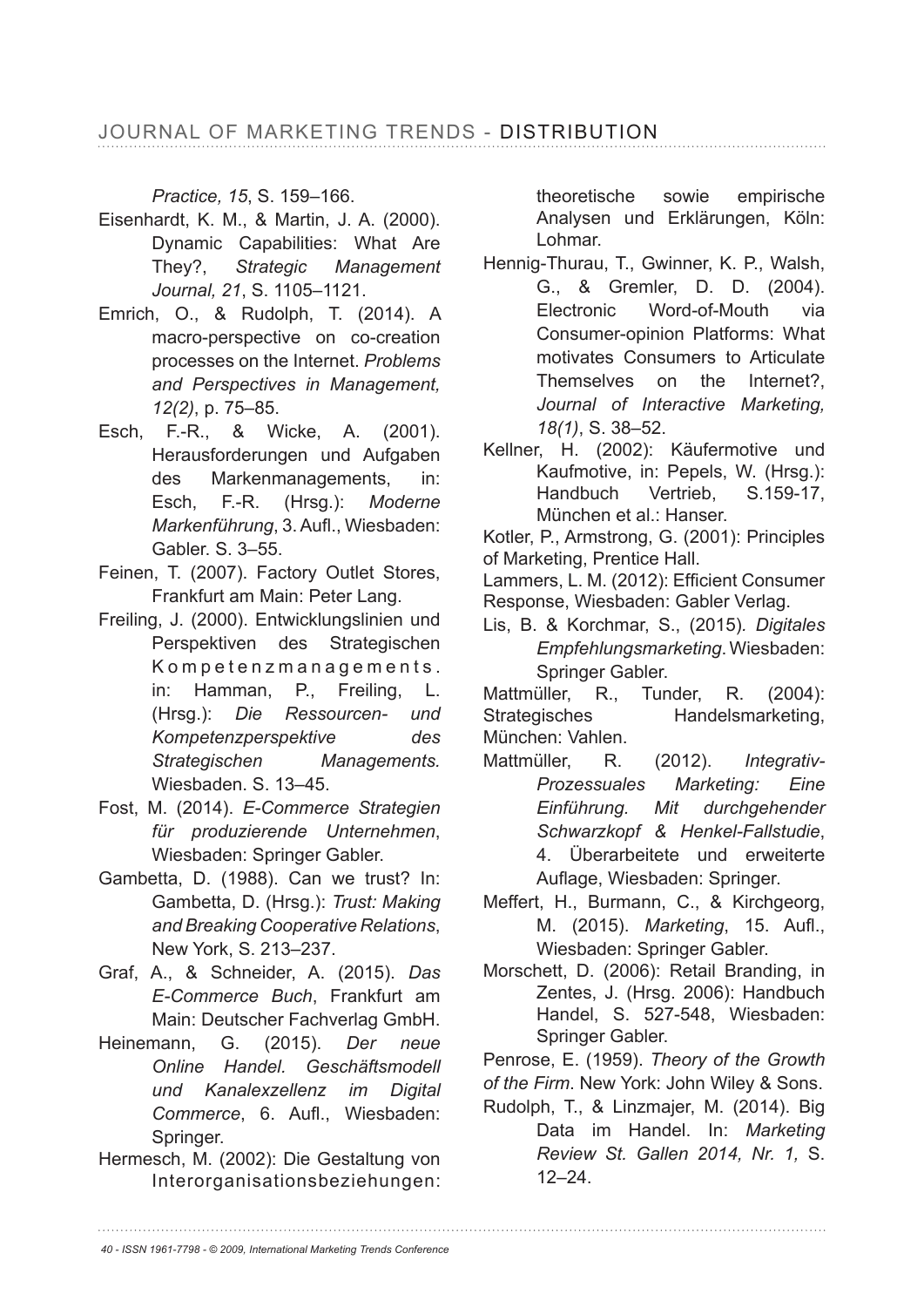*Practice, 15*, S. 159–166.

- Eisenhardt, K. M., & Martin, J. A. (2000). Dynamic Capabilities: What Are They?, Strategic Management *Journal, 21*, S. 1105–1121.
- Emrich, O., & Rudolph, T. (2014). A macro-perspective on co-creation processes on the Internet. *Problems and Perspectives in Management, 12(2)*, p. 75-85.
- Esch, F.-R., & Wicke, A. (2001). Herausforderungen und Aufgaben des Markenmanagements, in: Esch, F.-R. (Hrsg.): *Moderne Markenführung, 3. Aufl., Wiesbaden:* Gabler. S. 3–55.
- Feinen, T. (2007). Factory Outlet Stores, Frankfurt am Main: Peter Lang.
- Freiling, J. (2000). Entwicklungslinien und Perspektiven des Strategischen Kompetenzmanagements. in: Hamman, P., Freiling, L. (Hrsg.): *Die Ressourcen- und Kompetenzperspektive des Strategischen Managements.*  Wiesbaden. S. 13–45.
- Fost, M. (2014). *E-Commerce Strategien für produzierende Unternehmen*, Wiesbaden: Springer Gabler.
- Gambetta, D. (1988). Can we trust? In: Gambetta, D. (Hrsg.): *Trust: Making and Breaking Cooperative Relations*, New York, S. 213-237.
- Graf, A., & Schneider, A. (2015). *Das E-Commerce Buch*, Frankfurt am Main: Deutscher Fachverlag GmbH.
- Heinemann, G. (2015). *Der neue Online Handel. Geschäftsmodell und Kanalexzellenz im Digital Commerce, 6. Aufl., Wiesbaden:* Springer.
- Hermesch, M. (2002): Die Gestaltung von Interorganisationsbeziehungen:

theoretische sowie empirische Analysen und Erklärungen, Köln: Lohmar.

- Hennig-Thurau, T., Gwinner, K. P., Walsh, G., & Gremler, D. D. (2004). Electronic Word-of-Mouth via Consumer-opinion Platforms: What motivates Consumers to Articulate Themselves on the Internet?, *Journal of Interactive Marketing, 18(1)*, S. 38–52.
- Kellner, H. (2002): Käufermotive und Kaufmotive, in: Pepels, W. (Hrsg.): Handbuch Vertrieb, S.159-17, München et al.: Hanser.

Kotler, P., Armstrong, G. (2001): Principles of Marketing, Prentice Hall.

Lammers, L. M. (2012): Efficient Consumer Response, Wiesbaden: Gabler Verlag.

Lis, B. & Korchmar, S., (2015)*. Digitales Empfehlungsmarketing*. Wiesbaden: Springer Gabler.

Mattmüller, R., Tunder, R. (2004): Strategisches Handelsmarketing, München: Vahlen.

- Mattmüller, R. (2012). *Integrativ-Prozessuales Marketing: Eine Einführung. Mit durchgehender Schwarzkopf & Henkel-Fallstudie*, 4. Überarbeitete und erweiterte Auflage, Wiesbaden: Springer.
- Meffert, H., Burmann, C., & Kirchgeorg, M. (2015). *Marketing*, 15. Aufl., Wiesbaden: Springer Gabler.
- Morschett, D. (2006): Retail Branding, in Zentes, J. (Hrsg. 2006): Handbuch Handel, S. 527-548, Wiesbaden: Springer Gabler.
- Penrose, E. (1959). *Theory of the Growth*
- *of the Firm*. New York: John Wiley & Sons.
- Rudolph, T., & Linzmajer, M. (2014). Big Data im Handel. In: *Marketing Review St. Gallen 2014, Nr. 1,* S. 12–24.

*40 - ISSN 1961-7798 - © 2009, International Marketing Trends Conference*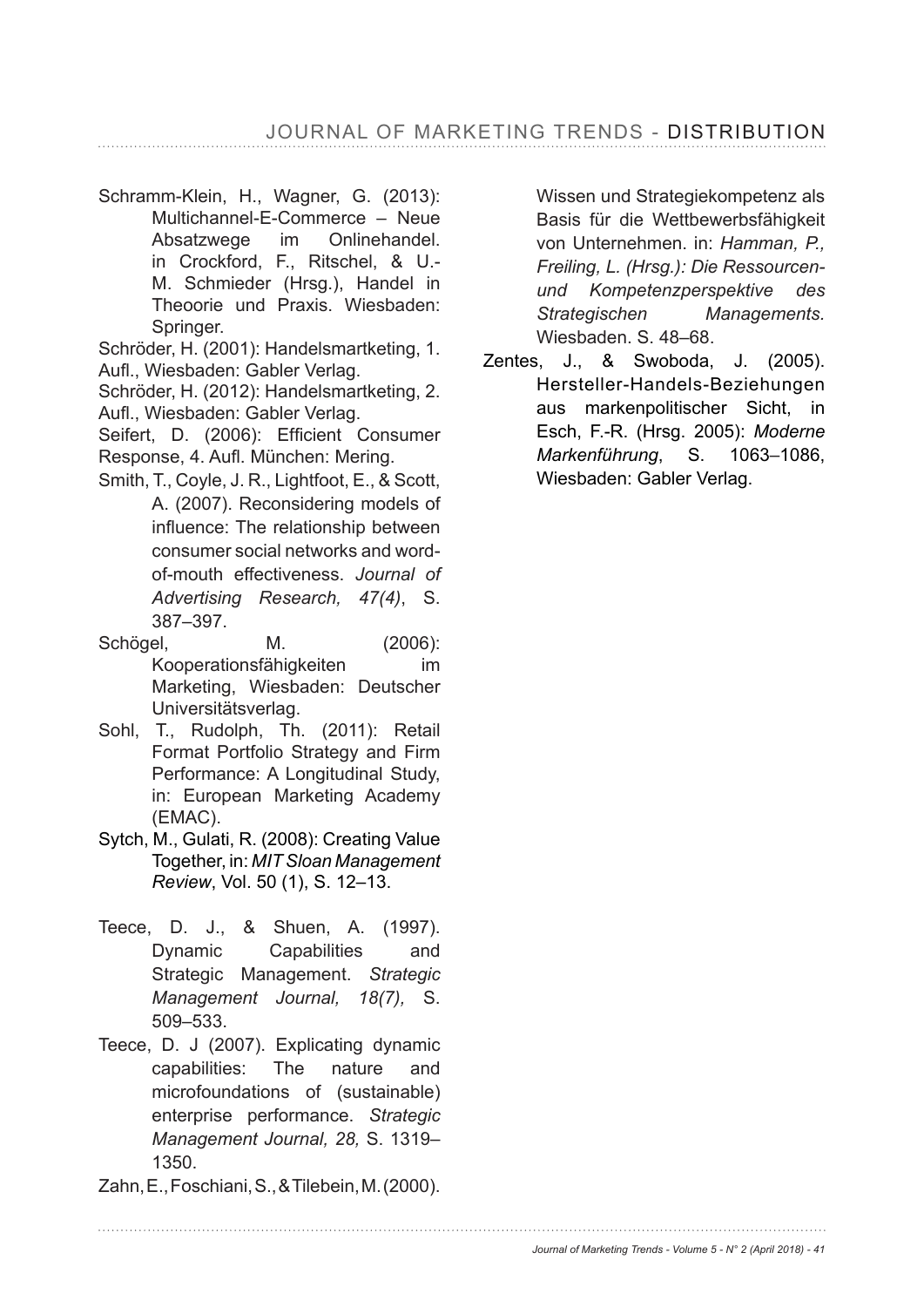Schramm-Klein, H., Wagner, G. (2013): Multichannel-E-Commerce – Neue Absatzwege im Onlinehandel. in Crockford, F., Ritschel, & U.- M. Schmieder (Hrsg.), Handel in Theoorie und Praxis. Wiesbaden: Springer.

Schröder, H. (2001): Handelsmartketing, 1. Aufl., Wiesbaden: Gabler Verlag.

Schröder, H. (2012): Handelsmartketing, 2. Aufl., Wiesbaden: Gabler Verlag.

Seifert. D. (2006): Efficient Consumer Response, 4. Aufl. München: Mering.

- Smith, T., Coyle, J. R., Lightfoot, E., & Scott, A. (2007). Reconsidering models of influence: The relationship between consumer social networks and wordof-mouth effectiveness. *Journal of Advertising Research, 47(4)*, S. 387-397.
- Schögel, M. (2006): Kooperationsfähigkeiten im Marketing, Wiesbaden: Deutscher Universitätsverlag.
- Sohl, T., Rudolph, Th. (2011): Retail Format Portfolio Strategy and Firm Performance: A Longitudinal Study, in: European Marketing Academy (EMAC).
- Sytch, M., Gulati, R. (2008): Creating Value Together, in: *MIT Sloan Management Review*, Vol. 50 (1), S. 12–13.
- Teece, D. J., & Shuen, A. (1997). Dynamic Capabilities and Strategic Management. *Strategic Management Journal, 18(7),* S. 509–533.
- Teece, D. J (2007). Explicating dynamic capabilities: The nature and microfoundations of (sustainable) enterprise performance. *Strategic Management Journal, 28,* S. 1319– 1350.
- Zahn, E., Foschiani, S., & Tilebein, M. (2000).

Wissen und Strategiekompetenz als Basis für die Wettbewerbsfähigkeit von Unternehmen. in: *Hamman, P., Freiling, L. (Hrsg.): Die Ressourcenund Kompetenzperspektive des Strategischen Managements.*  Wiesbaden. S. 48–68.

Zentes, J., & Swoboda, J. (2005). Hersteller-Handels-Beziehungen aus markenpolitischer Sicht, in Esch, F.-R. (Hrsg. 2005): *Moderne Markenführung*, S. 1063–1086, Wiesbaden: Gabler Verlag.

*Journal of Marketing Trends - Volume 5 - N° 2 (April 2018) - 41*